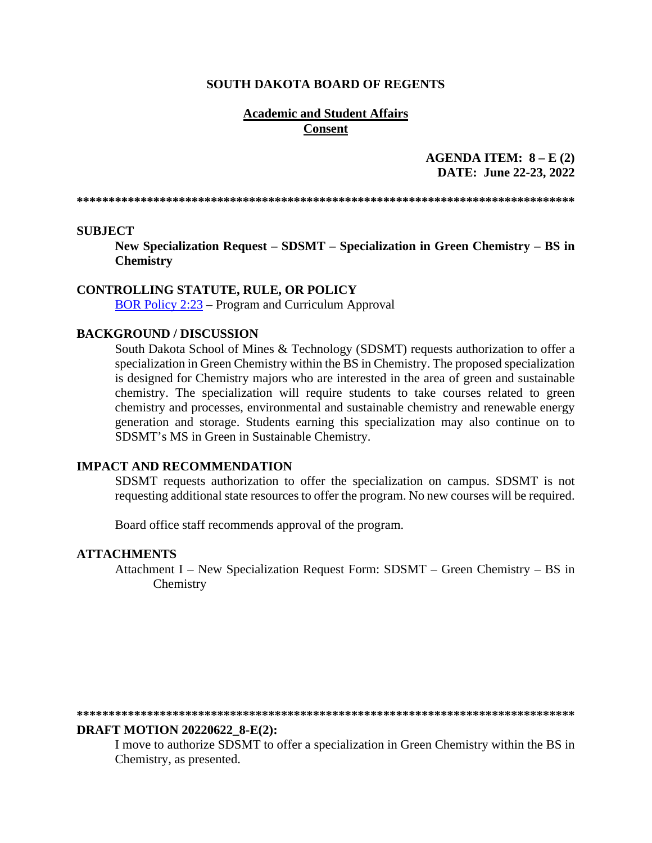### **SOUTH DAKOTA BOARD OF REGENTS**

## **Academic and Student Affairs Consent**

**AGENDA ITEM: 8 – E (2) DATE: June 22-23, 2022** 

**\*\*\*\*\*\*\*\*\*\*\*\*\*\*\*\*\*\*\*\*\*\*\*\*\*\*\*\*\*\*\*\*\*\*\*\*\*\*\*\*\*\*\*\*\*\*\*\*\*\*\*\*\*\*\*\*\*\*\*\*\*\*\*\*\*\*\*\*\*\*\*\*\*\*\*\*\*\***

### **SUBJECT**

**New Specialization Request – SDSMT – Specialization in Green Chemistry – BS in Chemistry**

### **CONTROLLING STATUTE, RULE, OR POLICY**

[BOR Policy 2:23](https://www.sdbor.edu/policy/Documents/2-23.pdf) – Program and Curriculum Approval

### **BACKGROUND / DISCUSSION**

South Dakota School of Mines & Technology (SDSMT) requests authorization to offer a specialization in Green Chemistry within the BS in Chemistry. The proposed specialization is designed for Chemistry majors who are interested in the area of green and sustainable chemistry. The specialization will require students to take courses related to green chemistry and processes, environmental and sustainable chemistry and renewable energy generation and storage. Students earning this specialization may also continue on to SDSMT's MS in Green in Sustainable Chemistry.

### **IMPACT AND RECOMMENDATION**

SDSMT requests authorization to offer the specialization on campus. SDSMT is not requesting additional state resources to offer the program. No new courses will be required.

Board office staff recommends approval of the program.

### **ATTACHMENTS**

Attachment I – New Specialization Request Form: SDSMT – Green Chemistry – BS in **Chemistry** 

#### **\*\*\*\*\*\*\*\*\*\*\*\*\*\*\*\*\*\*\*\*\*\*\*\*\*\*\*\*\*\*\*\*\*\*\*\*\*\*\*\*\*\*\*\*\*\*\*\*\*\*\*\*\*\*\*\*\*\*\*\*\*\*\*\*\*\*\*\*\*\*\*\*\*\*\*\*\*\***

### **DRAFT MOTION 20220622\_8-E(2):**

I move to authorize SDSMT to offer a specialization in Green Chemistry within the BS in Chemistry, as presented.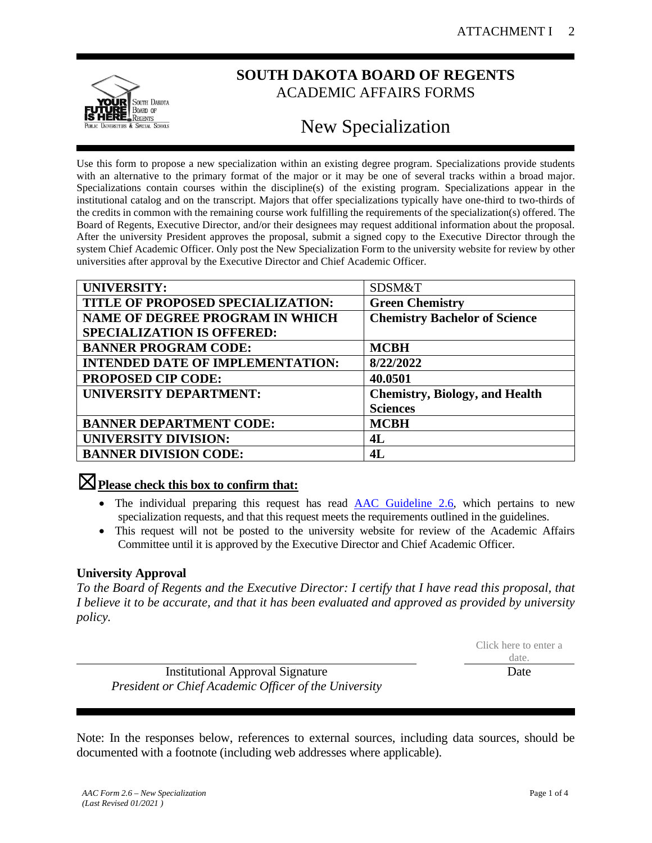

## **SOUTH DAKOTA BOARD OF REGENTS** ACADEMIC AFFAIRS FORMS

# New Specialization

Use this form to propose a new specialization within an existing degree program. Specializations provide students with an alternative to the primary format of the major or it may be one of several tracks within a broad major. Specializations contain courses within the discipline(s) of the existing program. Specializations appear in the institutional catalog and on the transcript. Majors that offer specializations typically have one-third to two-thirds of the credits in common with the remaining course work fulfilling the requirements of the specialization(s) offered. The Board of Regents, Executive Director, and/or their designees may request additional information about the proposal. After the university President approves the proposal, submit a signed copy to the Executive Director through the system Chief Academic Officer. Only post the New Specialization Form to the university website for review by other universities after approval by the Executive Director and Chief Academic Officer.

| <b>UNIVERSITY:</b>                      | SDSM&T                                |
|-----------------------------------------|---------------------------------------|
| TITLE OF PROPOSED SPECIALIZATION:       | <b>Green Chemistry</b>                |
| <b>NAME OF DEGREE PROGRAM IN WHICH</b>  | <b>Chemistry Bachelor of Science</b>  |
| <b>SPECIALIZATION IS OFFERED:</b>       |                                       |
| <b>BANNER PROGRAM CODE:</b>             | <b>MCBH</b>                           |
| <b>INTENDED DATE OF IMPLEMENTATION:</b> | 8/22/2022                             |
| <b>PROPOSED CIP CODE:</b>               | 40.0501                               |
| UNIVERSITY DEPARTMENT:                  | <b>Chemistry, Biology, and Health</b> |
|                                         | <b>Sciences</b>                       |
| <b>BANNER DEPARTMENT CODE:</b>          | <b>MCBH</b>                           |
| <b>UNIVERSITY DIVISION:</b>             | 4L                                    |
| <b>BANNER DIVISION CODE:</b>            | 4L                                    |

# ☒**Please check this box to confirm that:**

- The individual preparing this request has read **AAC** Guideline 2.6, which pertains to new specialization requests, and that this request meets the requirements outlined in the guidelines.
- This request will not be posted to the university website for review of the Academic Affairs Committee until it is approved by the Executive Director and Chief Academic Officer.

## **University Approval**

*To the Board of Regents and the Executive Director: I certify that I have read this proposal, that I believe it to be accurate, and that it has been evaluated and approved as provided by university policy.*

> Click here to enter a date.

> > Date

Institutional Approval Signature *President or Chief Academic Officer of the University*

Note: In the responses below, references to external sources, including data sources, should be documented with a footnote (including web addresses where applicable).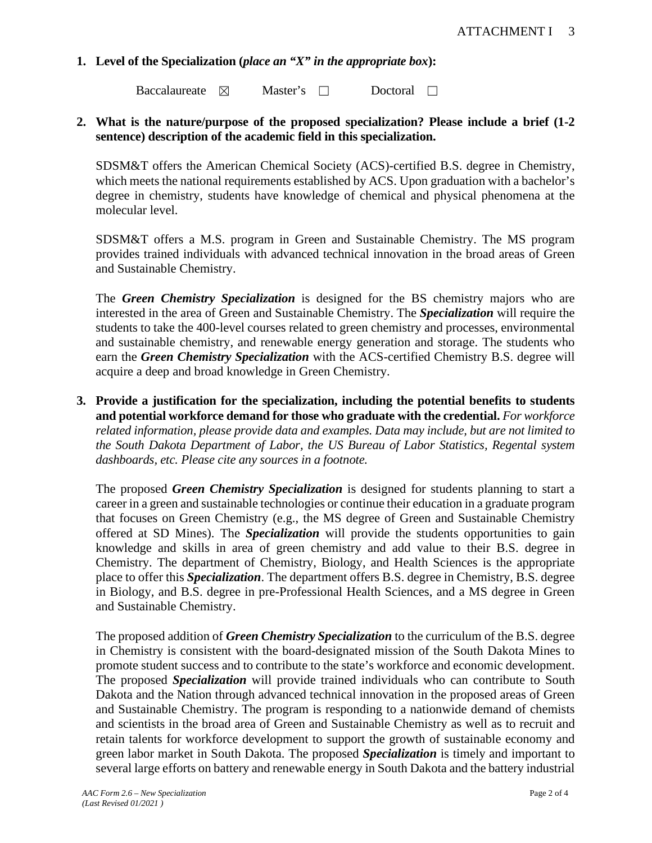## **1. Level of the Specialization (***place an "X" in the appropriate box***):**

Baccalaureate ⊠ Master's □ Doctoral □

## **2. What is the nature/purpose of the proposed specialization? Please include a brief (1-2 sentence) description of the academic field in this specialization.**

SDSM&T offers the American Chemical Society (ACS)-certified B.S. degree in Chemistry, which meets the national requirements established by ACS. Upon graduation with a bachelor's degree in chemistry, students have knowledge of chemical and physical phenomena at the molecular level.

SDSM&T offers a M.S. program in Green and Sustainable Chemistry. The MS program provides trained individuals with advanced technical innovation in the broad areas of Green and Sustainable Chemistry.

The *Green Chemistry Specialization* is designed for the BS chemistry majors who are interested in the area of Green and Sustainable Chemistry. The *Specialization* will require the students to take the 400-level courses related to green chemistry and processes, environmental and sustainable chemistry, and renewable energy generation and storage. The students who earn the *Green Chemistry Specialization* with the ACS-certified Chemistry B.S. degree will acquire a deep and broad knowledge in Green Chemistry.

**3. Provide a justification for the specialization, including the potential benefits to students and potential workforce demand for those who graduate with the credential.** *For workforce related information, please provide data and examples. Data may include, but are not limited to the South Dakota Department of Labor, the US Bureau of Labor Statistics, Regental system dashboards, etc. Please cite any sources in a footnote.*

The proposed *Green Chemistry Specialization* is designed for students planning to start a career in a green and sustainable technologies or continue their education in a graduate program that focuses on Green Chemistry (e.g., the MS degree of Green and Sustainable Chemistry offered at SD Mines). The *Specialization* will provide the students opportunities to gain knowledge and skills in area of green chemistry and add value to their B.S. degree in Chemistry. The department of Chemistry, Biology, and Health Sciences is the appropriate place to offer this *Specialization*. The department offers B.S. degree in Chemistry, B.S. degree in Biology, and B.S. degree in pre-Professional Health Sciences, and a MS degree in Green and Sustainable Chemistry.

The proposed addition of *Green Chemistry Specialization* to the curriculum of the B.S. degree in Chemistry is consistent with the board-designated mission of the South Dakota Mines to promote student success and to contribute to the state's workforce and economic development. The proposed *Specialization* will provide trained individuals who can contribute to South Dakota and the Nation through advanced technical innovation in the proposed areas of Green and Sustainable Chemistry. The program is responding to a nationwide demand of chemists and scientists in the broad area of Green and Sustainable Chemistry as well as to recruit and retain talents for workforce development to support the growth of sustainable economy and green labor market in South Dakota. The proposed *Specialization* is timely and important to several large efforts on battery and renewable energy in South Dakota and the battery industrial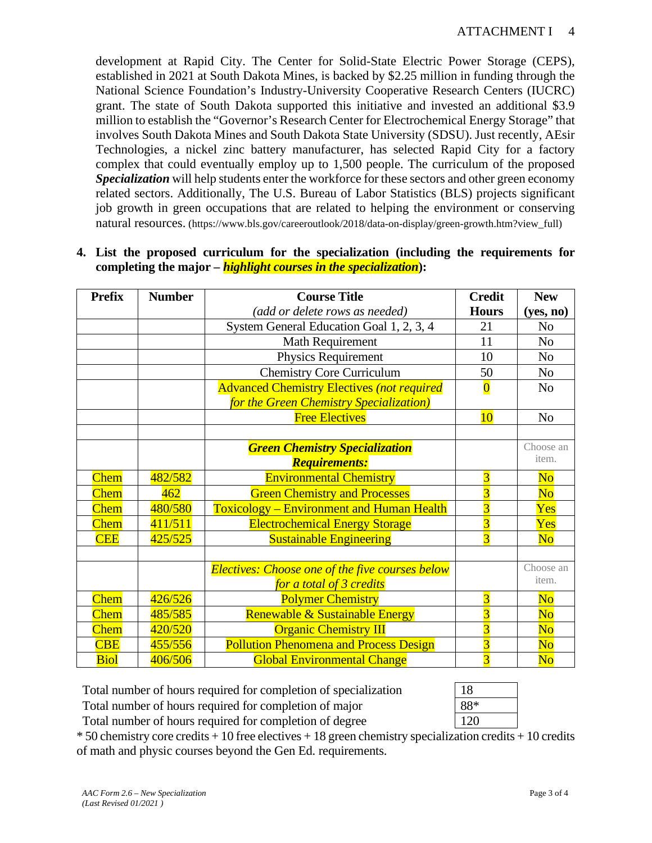development at Rapid City. The Center for Solid-State Electric Power Storage (CEPS), established in 2021 at South Dakota Mines, is backed by \$2.25 million in funding through the National Science Foundation's Industry-University Cooperative Research Centers (IUCRC) grant. The state of South Dakota supported this initiative and invested an additional \$3.9 million to establish the "Governor's Research Center for Electrochemical Energy Storage" that involves South Dakota Mines and South Dakota State University (SDSU). Just recently, AEsir Technologies, a nickel zinc battery manufacturer, has selected Rapid City for a factory complex that could eventually employ up to 1,500 people. The curriculum of the proposed *Specialization* will help students enter the workforce for these sectors and other green economy related sectors. Additionally, The U.S. Bureau of Labor Statistics (BLS) projects significant job growth in green occupations that are related to helping the environment or conserving natural resources. (https://www.bls.gov/careeroutlook/2018/data-on-display/green-growth.htm?view\_full)

| <b>Prefix</b> | <b>Number</b> | <b>Course Title</b>                                    | <b>Credit</b>           | <b>New</b>             |  |
|---------------|---------------|--------------------------------------------------------|-------------------------|------------------------|--|
|               |               | (add or delete rows as needed)                         | <b>Hours</b>            | (yes, no)              |  |
|               |               | System General Education Goal 1, 2, 3, 4               | 21                      | N <sub>0</sub>         |  |
|               |               | Math Requirement                                       | 11                      | N <sub>o</sub>         |  |
|               |               | Physics Requirement                                    | 10                      | N <sub>o</sub>         |  |
|               |               | <b>Chemistry Core Curriculum</b>                       | 50                      | N <sub>o</sub>         |  |
|               |               | <b>Advanced Chemistry Electives (not required</b>      | $\Omega$                | N <sub>0</sub>         |  |
|               |               | for the Green Chemistry Specialization)                |                         |                        |  |
|               |               | <b>Free Electives</b>                                  | 10                      | N <sub>0</sub>         |  |
|               |               |                                                        |                         |                        |  |
|               |               | <b>Green Chemistry Specialization</b>                  |                         | Choose an              |  |
|               |               | <b>Requirements:</b>                                   |                         | item.                  |  |
| <b>Chem</b>   | 482/582       | <b>Environmental Chemistry</b>                         | $\overline{3}$          | <b>No</b>              |  |
| <b>Chem</b>   | 462           | <b>Green Chemistry and Processes</b>                   | $\overline{3}$          | <b>No</b>              |  |
| <b>Chem</b>   | 480/580       | <b>Toxicology – Environment and Human Health</b>       | $\overline{3}$          | Yes                    |  |
| <b>Chem</b>   | 411/511       | <b>Electrochemical Energy Storage</b>                  | $\overline{3}$          | Yes                    |  |
| <b>CEE</b>    | 425/525       | <b>Sustainable Engineering</b>                         | $\overline{3}$          | N <sub>o</sub>         |  |
|               |               | <b>Electives: Choose one of the five courses below</b> |                         | Choose an              |  |
|               |               | for a total of 3 credits                               |                         | item.                  |  |
| <b>Chem</b>   | 426/526       | <b>Polymer Chemistry</b>                               | $\overline{\mathbf{3}}$ | N <sub>o</sub>         |  |
| <b>Chem</b>   | 485/585       | Renewable & Sustainable Energy                         | $\overline{3}$          | $\overline{\text{No}}$ |  |
| <b>Chem</b>   | 420/520       | <b>Organic Chemistry III</b>                           | $\overline{3}$          | N <sub>o</sub>         |  |
| <b>CBE</b>    | 455/556       | <b>Pollution Phenomena and Process Design</b>          | $\overline{3}$          | $\overline{\text{No}}$ |  |
| <b>Biol</b>   | 406/506       | <b>Global Environmental Change</b>                     | $\overline{3}$          | N <sub>o</sub>         |  |

## **4. List the proposed curriculum for the specialization (including the requirements for completing the major –** *highlight courses in the specialization***):**

Total number of hours required for completion of specialization 18

Total number of hours required for completion of major  $88*$ 

Total number of hours required for completion of degree 120

 $*$  50 chemistry core credits  $+10$  free electives  $+18$  green chemistry specialization credits  $+10$  credits of math and physic courses beyond the Gen Ed. requirements.